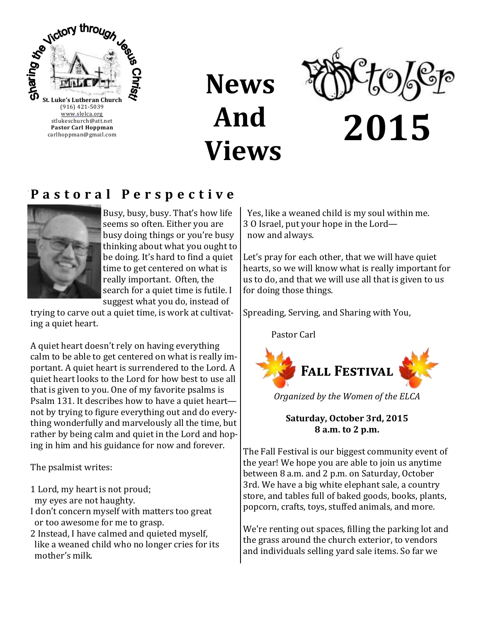

**News And Views**



# **P a s t o r a l P e r s p e c t i v e**



Busy, busy, busy. That's how life seems so often. Either you are busy doing things or you're busy thinking about what you ought to be doing. It's hard to find a quiet time to get centered on what is really important. Often, the search for a quiet time is futile. I suggest what you do, instead of

trying to carve out a quiet time, is work at cultivating a quiet heart.

A quiet heart doesn't rely on having everything calm to be able to get centered on what is really important. A quiet heart is surrendered to the Lord. A quiet heart looks to the Lord for how best to use all that is given to you. One of my favorite psalms is Psalm 131. It describes how to have a quiet heart not by trying to figure everything out and do everything wonderfully and marvelously all the time, but rather by being calm and quiet in the Lord and hoping in him and his guidance for now and forever.

The psalmist writes:

- 1 Lord, my heart is not proud;
- my eyes are not haughty.
- I don't concern myself with matters too great or too awesome for me to grasp.
- 2 Instead, I have calmed and quieted myself, like a weaned child who no longer cries for its mother's milk.

 Yes, like a weaned child is my soul within me. 3 O Israel, put your hope in the Lord now and always.

Let's pray for each other, that we will have quiet hearts, so we will know what is really important for us to do, and that we will use all that is given to us for doing those things.

Spreading, Serving, and Sharing with You,

Pastor Carl



*Organized by the Women of the ELCA*

**Saturday, October 3rd, 2015 8 a.m. to 2 p.m.**

The Fall Festival is our biggest community event of the year! We hope you are able to join us anytime between 8 a.m. and 2 p.m. on Saturday, October 3rd. We have a big white elephant sale, a country store, and tables full of baked goods, books, plants, popcorn, crafts, toys, stuffed animals, and more.

We're renting out spaces, filling the parking lot and the grass around the church exterior, to vendors and individuals selling yard sale items. So far we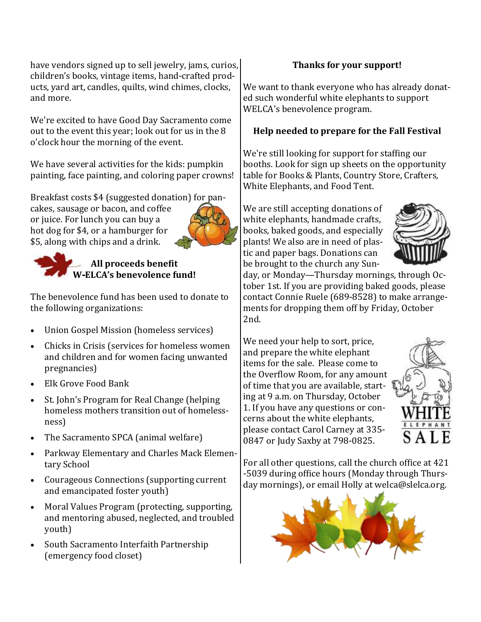have vendors signed up to sell jewelry, jams, curios, children's books, vintage items, hand-crafted products, yard art, candles, quilts, wind chimes, clocks, and more.

We're excited to have Good Day Sacramento come out to the event this year; look out for us in the 8 o'clock hour the morning of the event.

We have several activities for the kids: pumpkin painting, face painting, and coloring paper crowns!

Breakfast costs \$4 (suggested donation) for pancakes, sausage or bacon, and coffee or juice. For lunch you can buy a hot dog for \$4, or a hamburger for \$5, along with chips and a drink.





The benevolence fund has been used to donate to the following organizations:

- Union Gospel Mission (homeless services)
- Chicks in Crisis (services for homeless women and children and for women facing unwanted pregnancies)
- Elk Grove Food Bank
- St. John's Program for Real Change (helping homeless mothers transition out of homelessness)
- The Sacramento SPCA (animal welfare)
- Parkway Elementary and Charles Mack Elementary School
- Courageous Connections (supporting current and emancipated foster youth)
- Moral Values Program (protecting, supporting, and mentoring abused, neglected, and troubled youth)
- South Sacramento Interfaith Partnership (emergency food closet)

#### **Thanks for your support!**

We want to thank everyone who has already donated such wonderful white elephants to support WELCA's benevolence program.

#### **Help needed to prepare for the Fall Festival**

We're still looking for support for staffing our booths. Look for sign up sheets on the opportunity table for Books & Plants, Country Store, Crafters, White Elephants, and Food Tent.

We are still accepting donations of white elephants, handmade crafts, books, baked goods, and especially plants! We also are in need of plastic and paper bags. Donations can be brought to the church any Sun-



day, or Monday—Thursday mornings, through October 1st. If you are providing baked goods, please contact Connie Ruele (689-8528) to make arrangements for dropping them off by Friday, October 2nd.

We need your help to sort, price, and prepare the white elephant items for the sale. Please come to the Overflow Room, for any amount of time that you are available, starting at 9 a.m. on Thursday, October 1. If you have any questions or concerns about the white elephants, please contact Carol Carney at 335- 0847 or Judy Saxby at 798-0825.



For all other questions, call the church office at 421 -5039 during office hours (Monday through Thursday mornings), or email Holly at welca@slelca.org.

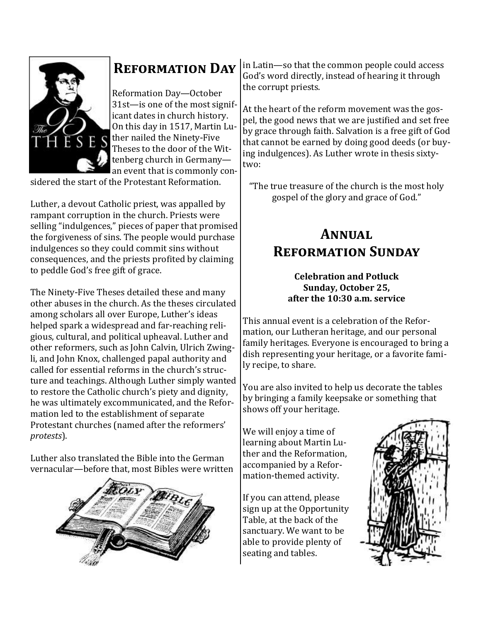

# **Reformation Day**

Reformation Day—October 31st—is one of the most significant dates in church history. On this day in 1517, Martin Luther nailed the Ninety-Five Theses to the door of the Wittenberg church in Germany an event that is commonly con-

sidered the start of the Protestant Reformation.

Luther, a devout Catholic priest, was appalled by rampant corruption in the church. Priests were selling "indulgences," pieces of paper that promised the forgiveness of sins. The people would purchase indulgences so they could commit sins without consequences, and the priests profited by claiming to peddle God's free gift of grace.

The Ninety-Five Theses detailed these and many other abuses in the church. As the theses circulated among scholars all over Europe, Luther's ideas helped spark a widespread and far-reaching religious, cultural, and political upheaval. Luther and other reformers, such as John Calvin, Ulrich Zwingli, and John Knox, challenged papal authority and called for essential reforms in the church's structure and teachings. Although Luther simply wanted to restore the Catholic church's piety and dignity, he was ultimately excommunicated, and the Reformation led to the establishment of separate Protestant churches (named after the reformers' *protests*).

Luther also translated the Bible into the German vernacular—before that, most Bibles were written



in Latin—so that the common people could access God's word directly, instead of hearing it through the corrupt priests.

At the heart of the reform movement was the gospel, the good news that we are justified and set free by grace through faith. Salvation is a free gift of God that cannot be earned by doing good deeds (or buying indulgences). As Luther wrote in thesis sixtytwo:

"The true treasure of the church is the most holy gospel of the glory and grace of God."

### **Annual Reformation Sunday**

#### **Celebration and Potluck Sunday, October 25, after the 10:30 a.m. service**

This annual event is a celebration of the Reformation, our Lutheran heritage, and our personal family heritages. Everyone is encouraged to bring a dish representing your heritage, or a favorite family recipe, to share.

You are also invited to help us decorate the tables by bringing a family keepsake or something that shows off your heritage.

We will enjoy a time of learning about Martin Luther and the Reformation, accompanied by a Reformation-themed activity.

If you can attend, please sign up at the Opportunity Table, at the back of the sanctuary. We want to be able to provide plenty of seating and tables.

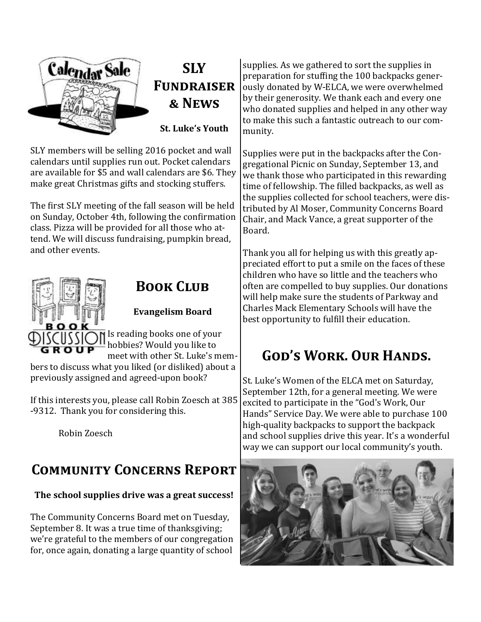

SLY members will be selling 2016 pocket and wall calendars until supplies run out. Pocket calendars are available for \$5 and wall calendars are \$6. They make great Christmas gifts and stocking stuffers.

The first SLY meeting of the fall season will be held on Sunday, October 4th, following the confirmation class. Pizza will be provided for all those who attend. We will discuss fundraising, pumpkin bread, and other events.



### **BOOK CLUB**

### **Evangelism Board**

CUSSION Is reading books one of your hobbies? Would you like to meet with other St. Luke's members to discuss what you liked (or disliked) about a previously assigned and agreed-upon book?

If this interests you, please call Robin Zoesch at 385 -9312. Thank you for considering this.

Robin Zoesch

# **Community Concerns Report**

### **The school supplies drive was a great success!**

The Community Concerns Board met on Tuesday, September 8. It was a true time of thanksgiving; we're grateful to the members of our congregation for, once again, donating a large quantity of school

supplies. As we gathered to sort the supplies in preparation for stuffing the 100 backpacks generously donated by W-ELCA, we were overwhelmed by their generosity. We thank each and every one who donated supplies and helped in any other way to make this such a fantastic outreach to our community.

Supplies were put in the backpacks after the Congregational Picnic on Sunday, September 13, and we thank those who participated in this rewarding time of fellowship. The filled backpacks, as well as the supplies collected for school teachers, were distributed by Al Moser, Community Concerns Board Chair, and Mack Vance, a great supporter of the Board.

Thank you all for helping us with this greatly appreciated effort to put a smile on the faces of these children who have so little and the teachers who often are compelled to buy supplies. Our donations will help make sure the students of Parkway and Charles Mack Elementary Schools will have the best opportunity to fulfill their education.

# **God's Work. Our Hands.**

St. Luke's Women of the ELCA met on Saturday, September 12th, for a general meeting. We were excited to participate in the "God's Work, Our Hands" Service Day. We were able to purchase 100 high-quality backpacks to support the backpack and school supplies drive this year. It's a wonderful way we can support our local community's youth.

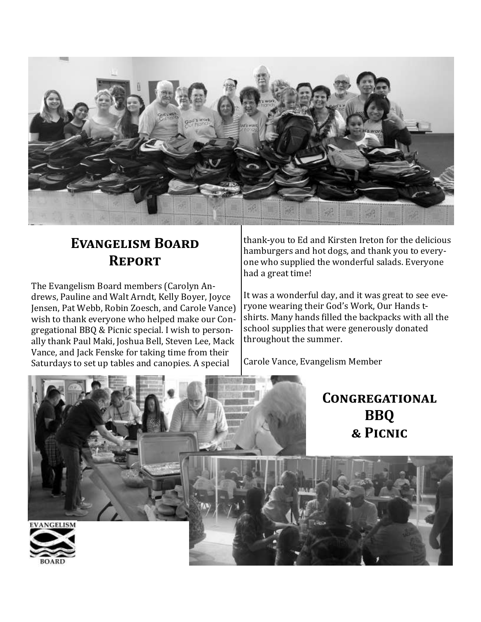

### **Evangelism Board Report**

The Evangelism Board members (Carolyn Andrews, Pauline and Walt Arndt, Kelly Boyer, Joyce Jensen, Pat Webb, Robin Zoesch, and Carole Vance) wish to thank everyone who helped make our Congregational BBQ & Picnic special. I wish to personally thank Paul Maki, Joshua Bell, Steven Lee, Mack Vance, and Jack Fenske for taking time from their Saturdays to set up tables and canopies. A special

thank-you to Ed and Kirsten Ireton for the delicious hamburgers and hot dogs, and thank you to everyone who supplied the wonderful salads. Everyone had a great time!

It was a wonderful day, and it was great to see everyone wearing their God's Work, Our Hands tshirts. Many hands filled the backpacks with all the school supplies that were generously donated throughout the summer.

Carole Vance, Evangelism Member

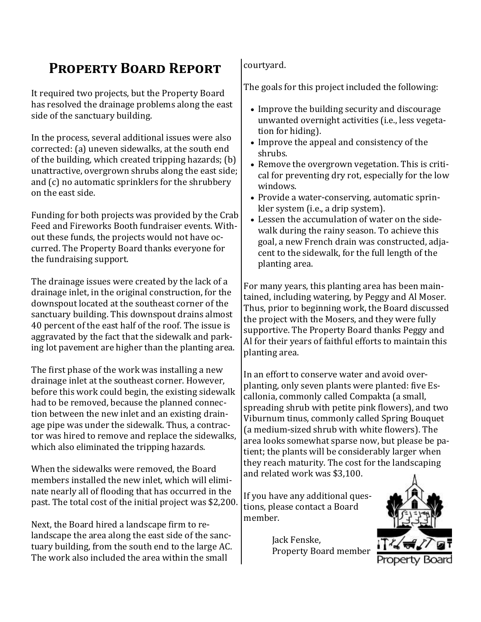# **Property Board Report**

It required two projects, but the Property Board has resolved the drainage problems along the east side of the sanctuary building.

In the process, several additional issues were also corrected: (a) uneven sidewalks, at the south end of the building, which created tripping hazards; (b) unattractive, overgrown shrubs along the east side; and (c) no automatic sprinklers for the shrubbery on the east side.

Funding for both projects was provided by the Crab Feed and Fireworks Booth fundraiser events. Without these funds, the projects would not have occurred. The Property Board thanks everyone for the fundraising support.

The drainage issues were created by the lack of a drainage inlet, in the original construction, for the downspout located at the southeast corner of the sanctuary building. This downspout drains almost 40 percent of the east half of the roof. The issue is aggravated by the fact that the sidewalk and parking lot pavement are higher than the planting area.

The first phase of the work was installing a new drainage inlet at the southeast corner. However, before this work could begin, the existing sidewalk had to be removed, because the planned connection between the new inlet and an existing drainage pipe was under the sidewalk. Thus, a contractor was hired to remove and replace the sidewalks, which also eliminated the tripping hazards.

When the sidewalks were removed, the Board members installed the new inlet, which will eliminate nearly all of flooding that has occurred in the past. The total cost of the initial project was \$2,200.

Next, the Board hired a landscape firm to relandscape the area along the east side of the sanctuary building, from the south end to the large AC. The work also included the area within the small

courtyard.

The goals for this project included the following:

- Improve the building security and discourage unwanted overnight activities (i.e., less vegetation for hiding).
- Improve the appeal and consistency of the shrubs.
- Remove the overgrown vegetation. This is critical for preventing dry rot, especially for the low windows.
- Provide a water-conserving, automatic sprinkler system (i.e., a drip system).
- Lessen the accumulation of water on the sidewalk during the rainy season. To achieve this goal, a new French drain was constructed, adjacent to the sidewalk, for the full length of the planting area.

For many years, this planting area has been maintained, including watering, by Peggy and Al Moser. Thus, prior to beginning work, the Board discussed the project with the Mosers, and they were fully supportive. The Property Board thanks Peggy and Al for their years of faithful efforts to maintain this planting area.

In an effort to conserve water and avoid overplanting, only seven plants were planted: five Escallonia, commonly called Compakta (a small, spreading shrub with petite pink flowers), and two Viburnum tinus, commonly called Spring Bouquet (a medium-sized shrub with white flowers). The area looks somewhat sparse now, but please be patient; the plants will be considerably larger when they reach maturity. The cost for the landscaping and related work was \$3,100.

If you have any additional questions, please contact a Board member.

> Jack Fenske, Property Board member

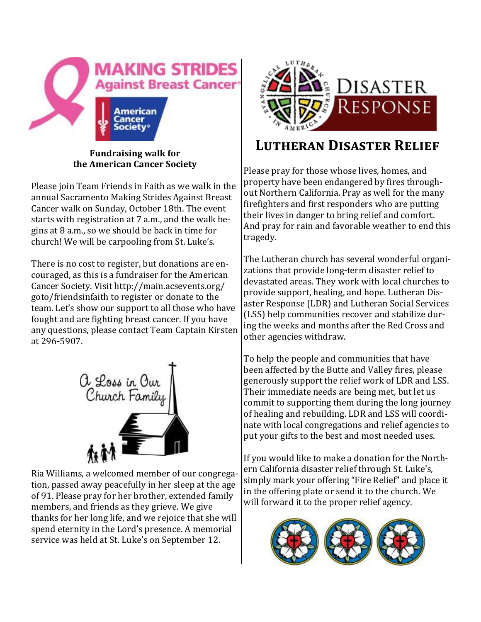

#### **Fundraising walk for the American Cancer Society**

Please join Team Friends in Faith as we walk in the annual Sacramento Making Strides Against Breast Cancer walk on Sunday, October 18th. The event starts with registration at 7 a.m., and the walk begins at 8 a.m., so we should be back in time for church! We will be carpooling from St. Luke's.

There is no cost to register, but donations are encouraged, as this is a fundraiser for the American Cancer Society. Visit http://main.acsevents.org/ goto/friendsinfaith to register or donate to the team. Let's show our support to all those who have fought and are fighting breast cancer. If you have any questions, please contact Team Captain Kirsten at 296-5907.



Ria Williams, a welcomed member of our congregation, passed away peacefully in her sleep at the age of 91. Please pray for her brother, extended family members, and friends as they grieve. We give thanks for her long life, and we rejoice that she will spend eternity in the Lord's presence. A memorial service was held at St. Luke's on September 12.



### **Lutheran Disaster Relief**

Please pray for those whose lives, homes, and property have been endangered by fires throughout Northern California. Pray as well for the many firefighters and first responders who are putting their lives in danger to bring relief and comfort. And pray for rain and favorable weather to end this tragedy.

The Lutheran church has several wonderful organizations that provide long-term disaster relief to devastated areas. They work with local churches to provide support, healing, and hope. Lutheran Disaster Response (LDR) and Lutheran Social Services (LSS) help communities recover and stabilize during the weeks and months after the Red Cross and other agencies withdraw.

To help the people and communities that have been affected by the Butte and Valley fires, please generously support the relief work of LDR and LSS. Their immediate needs are being met, but let us commit to supporting them during the long journey of healing and rebuilding. LDR and LSS will coordinate with local congregations and relief agencies to put your gifts to the best and most needed uses.

If you would like to make a donation for the Northern California disaster relief through St. Luke's, simply mark your offering "Fire Relief" and place it in the offering plate or send it to the church. We will forward it to the proper relief agency.

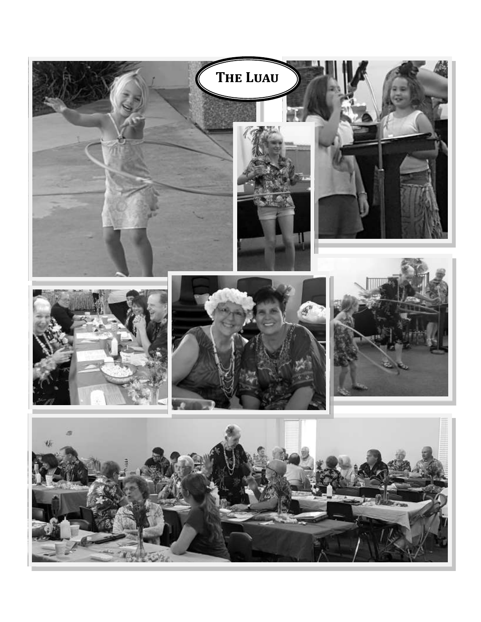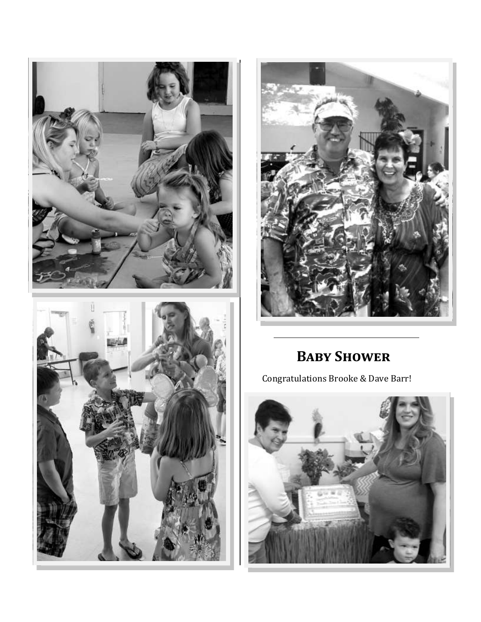



# **Baby Shower**

Congratulations Brooke & Dave Barr!

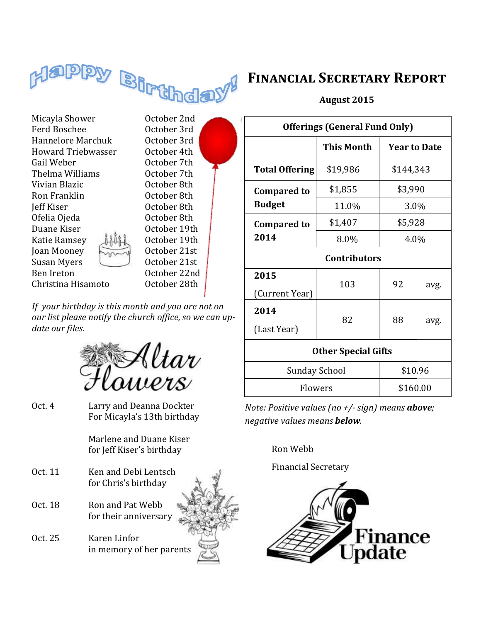

### **Financial Secretary Report**

#### **August 2015**

Micayla Shower **October 2nd** Ferd Boschee October 3rd Hannelore Marchuk October 3rd Howard Triebwasser October 4th Gail Weber **Call Weber** October 7th Thelma Williams October 7th Vivian Blazic October 8th Ron Franklin **C**ortober 8th Jeff Kiser October 8th Ofelia Ojeda October 8th Duane Kiser **Duane Kiser** Corober 19th Katie Ramsey 14 Mall October 19th Joan Mooney  $\overrightarrow{h_{\text{non}}}\$  October 21st Susan Myers U J October 21st Ben Ireton October 22nd Christina Hisamoto October 28th

П

*If your birthday is this month and you are not on our list please notify the church office, so we can update our files.*



- Oct. 4 Larry and Deanna Dockter For Micayla's 13th birthday Marlene and Duane Kiser for Jeff Kiser's birthday
- Oct. 11 Ken and Debi Lentsch for Chris's birthday Oct. 18 Ron and Pat Webb for their anniversary
- Oct. 25 Karen Linfor in memory of her parents



| <b>Offerings (General Fund Only)</b> |                   |                     |      |  |  |
|--------------------------------------|-------------------|---------------------|------|--|--|
|                                      | <b>This Month</b> | <b>Year to Date</b> |      |  |  |
| <b>Total Offering</b>                | \$19,986          | \$144,343           |      |  |  |
| <b>Compared to</b>                   | \$1,855           | \$3,990             |      |  |  |
| <b>Budget</b>                        | 11.0%             | 3.0%                |      |  |  |
| <b>Compared to</b>                   | \$1,407           | \$5,928             |      |  |  |
| 2014                                 | 8.0%              | 4.0%                |      |  |  |
| <b>Contributors</b>                  |                   |                     |      |  |  |
| 2015                                 | 103               | 92                  |      |  |  |
| (Current Year)                       |                   |                     | avg. |  |  |
| 2014                                 |                   |                     |      |  |  |
| (Last Year)                          | 82                | 88                  | avg. |  |  |
| <b>Other Special Gifts</b>           |                   |                     |      |  |  |

| <b>Sunday School</b> | \$10.96  |
|----------------------|----------|
| <b>Flowers</b>       | \$160.00 |

*Note: Positive values (no +/- sign) means above; negative values means below.*

Ron Webb

Financial Secretary

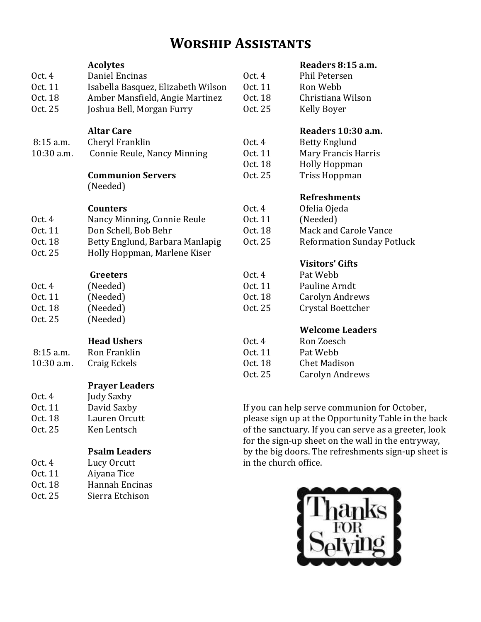### **Worship Assistants**

|                    | <b>Acolytes</b>                                                 |                                                       | Readers 8:15 a.m.                 |  |
|--------------------|-----------------------------------------------------------------|-------------------------------------------------------|-----------------------------------|--|
| Oct. $4$           | Daniel Encinas                                                  | Oct. $4$                                              | <b>Phil Petersen</b>              |  |
| Oct. 11            | Isabella Basquez, Elizabeth Wilson                              | 0ct. 11                                               | Ron Webb                          |  |
| Oct. 18            | Amber Mansfield, Angie Martinez                                 | Oct. 18                                               | Christiana Wilson                 |  |
| Oct. 25            | Joshua Bell, Morgan Furry                                       | Oct. 25                                               | <b>Kelly Boyer</b>                |  |
|                    | <b>Altar Care</b>                                               |                                                       | Readers 10:30 a.m.                |  |
| 8:15 a.m.          | Cheryl Franklin                                                 | Oct. 4                                                | <b>Betty Englund</b>              |  |
| 10:30 a.m.         | Connie Reule, Nancy Minning                                     | Oct. 11                                               | Mary Francis Harris               |  |
|                    |                                                                 | Oct. 18                                               | <b>Holly Hoppman</b>              |  |
|                    | <b>Communion Servers</b><br>(Needed)                            | Oct. 25                                               | <b>Triss Hoppman</b>              |  |
|                    |                                                                 |                                                       | <b>Refreshments</b>               |  |
|                    | <b>Counters</b>                                                 | Oct. 4                                                | Ofelia Ojeda                      |  |
| Oct. $4$           | Nancy Minning, Connie Reule                                     | Oct. 11                                               | (Needed)                          |  |
| Oct. 11            | Don Schell, Bob Behr                                            | Oct. 18                                               | Mack and Carole Vance             |  |
| Oct. 18<br>Oct. 25 | Betty Englund, Barbara Manlapig<br>Holly Hoppman, Marlene Kiser | Oct. 25                                               | <b>Reformation Sunday Potluck</b> |  |
|                    |                                                                 |                                                       | <b>Visitors' Gifts</b>            |  |
|                    | Greeters                                                        | Oct. 4                                                | Pat Webb                          |  |
| Oct. 4             | (Needed)                                                        | Oct. 11                                               | Pauline Arndt                     |  |
| Oct. 11            | (Needed)                                                        | Oct. 18                                               | <b>Carolyn Andrews</b>            |  |
| Oct. 18            | (Needed)                                                        | Oct. 25                                               | Crystal Boettcher                 |  |
| Oct. 25            | (Needed)                                                        |                                                       |                                   |  |
|                    |                                                                 |                                                       | <b>Welcome Leaders</b>            |  |
|                    | <b>Head Ushers</b>                                              | Oct. $4$                                              | Ron Zoesch                        |  |
| 8:15 a.m.          | Ron Franklin                                                    | Oct. 11                                               | Pat Webb                          |  |
| 10:30 a.m.         | Craig Eckels                                                    | Oct. 18                                               | <b>Chet Madison</b>               |  |
|                    |                                                                 | Oct. 25                                               | <b>Carolyn Andrews</b>            |  |
|                    | <b>Prayer Leaders</b>                                           |                                                       |                                   |  |
| Oct. 4             | Judy Saxby                                                      |                                                       |                                   |  |
| Oct. 11            | David Saxby                                                     | If you can help serve communion for October,          |                                   |  |
| Oct. 18            | Lauren Orcutt                                                   | please sign up at the Opportunity Table in the back   |                                   |  |
| Oct. 25            | Ken Lentsch                                                     | of the sanctuary. If you can serve as a greeter, look |                                   |  |
|                    |                                                                 | for the sign-up sheet on the wall in the entryway,    |                                   |  |
|                    | <b>Psalm Leaders</b>                                            | by the big doors. The refreshments sign-up sheet is   |                                   |  |

Oct. 4 Lucy Orcutt Oct. 11 Aiyana Tice Oct. 18 Hannah Encinas Oct. 25 Sierra Etchison



in the church office.